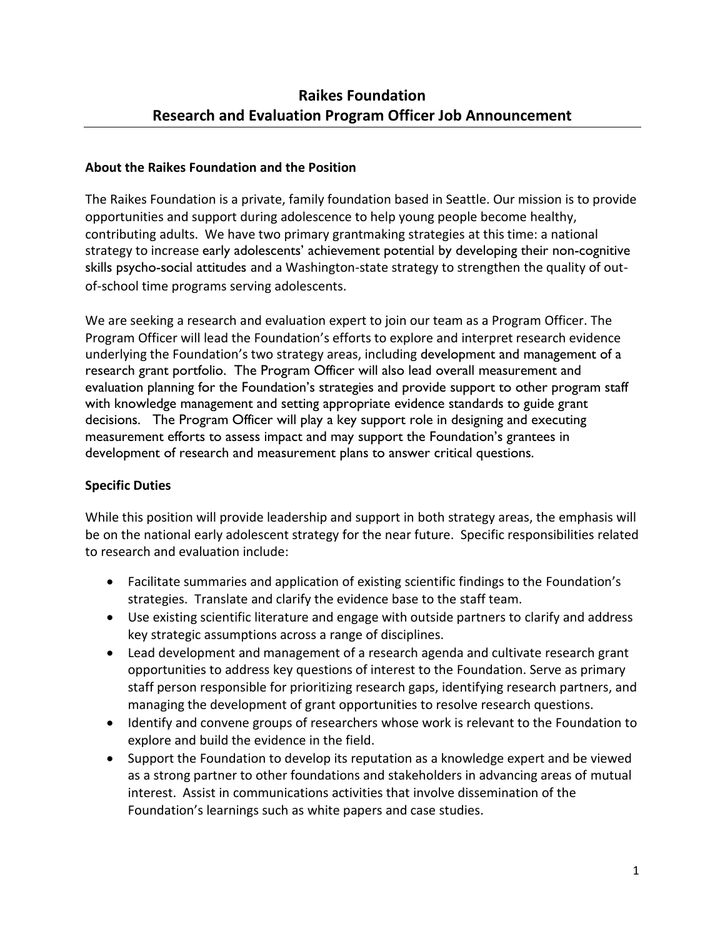#### **About the Raikes Foundation and the Position**

The Raikes Foundation is a private, family foundation based in Seattle. Our mission is to provide opportunities and support during adolescence to help young people become healthy, contributing adults. We have two primary grantmaking strategies at this time: a national strategy to increase early adolescents' achievement potential by developing their non-cognitive skills psycho-social attitudes and a Washington-state strategy to strengthen the quality of outof-school time programs serving adolescents.

We are seeking a research and evaluation expert to join our team as a Program Officer. The Program Officer will lead the Foundation's efforts to explore and interpret research evidence underlying the Foundation's two strategy areas, including development and management of a research grant portfolio. The Program Officer will also lead overall measurement and evaluation planning for the Foundation's strategies and provide support to other program staff with knowledge management and setting appropriate evidence standards to guide grant decisions. The Program Officer will play a key support role in designing and executing measurement efforts to assess impact and may support the Foundation's grantees in development of research and measurement plans to answer critical questions.

### **Specific Duties**

While this position will provide leadership and support in both strategy areas, the emphasis will be on the national early adolescent strategy for the near future. Specific responsibilities related to research and evaluation include:

- Facilitate summaries and application of existing scientific findings to the Foundation's strategies. Translate and clarify the evidence base to the staff team.
- Use existing scientific literature and engage with outside partners to clarify and address key strategic assumptions across a range of disciplines.
- Lead development and management of a research agenda and cultivate research grant opportunities to address key questions of interest to the Foundation. Serve as primary staff person responsible for prioritizing research gaps, identifying research partners, and managing the development of grant opportunities to resolve research questions.
- Identify and convene groups of researchers whose work is relevant to the Foundation to explore and build the evidence in the field.
- Support the Foundation to develop its reputation as a knowledge expert and be viewed as a strong partner to other foundations and stakeholders in advancing areas of mutual interest. Assist in communications activities that involve dissemination of the Foundation's learnings such as white papers and case studies.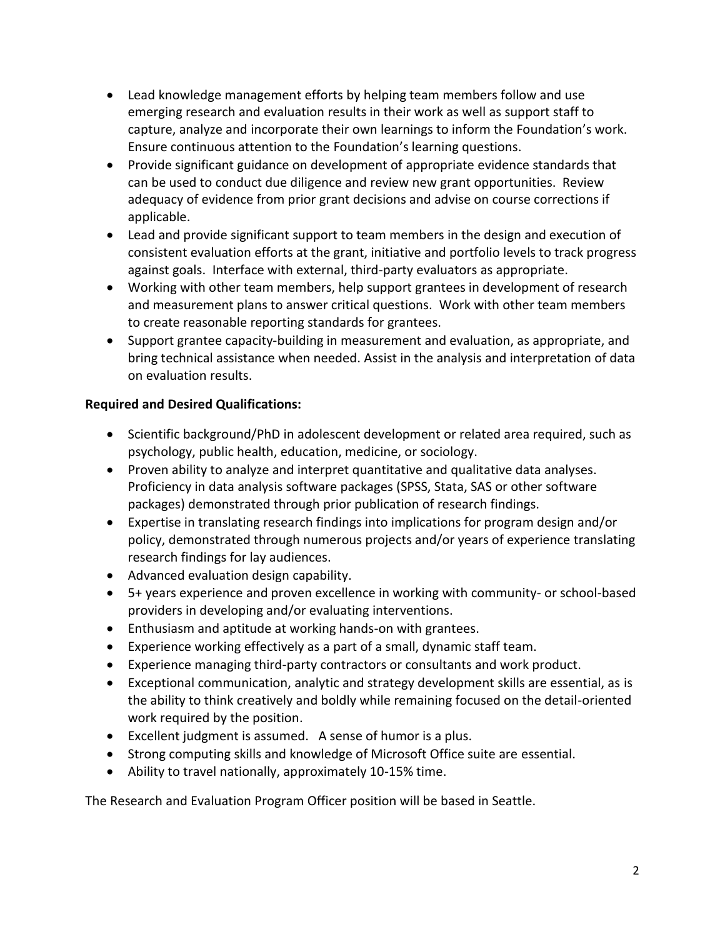- Lead knowledge management efforts by helping team members follow and use emerging research and evaluation results in their work as well as support staff to capture, analyze and incorporate their own learnings to inform the Foundation's work. Ensure continuous attention to the Foundation's learning questions.
- Provide significant guidance on development of appropriate evidence standards that can be used to conduct due diligence and review new grant opportunities. Review adequacy of evidence from prior grant decisions and advise on course corrections if applicable.
- Lead and provide significant support to team members in the design and execution of consistent evaluation efforts at the grant, initiative and portfolio levels to track progress against goals. Interface with external, third-party evaluators as appropriate.
- Working with other team members, help support grantees in development of research and measurement plans to answer critical questions. Work with other team members to create reasonable reporting standards for grantees.
- Support grantee capacity-building in measurement and evaluation, as appropriate, and bring technical assistance when needed. Assist in the analysis and interpretation of data on evaluation results.

# **Required and Desired Qualifications:**

- Scientific background/PhD in adolescent development or related area required, such as psychology, public health, education, medicine, or sociology.
- Proven ability to analyze and interpret quantitative and qualitative data analyses. Proficiency in data analysis software packages (SPSS, Stata, SAS or other software packages) demonstrated through prior publication of research findings.
- Expertise in translating research findings into implications for program design and/or policy, demonstrated through numerous projects and/or years of experience translating research findings for lay audiences.
- Advanced evaluation design capability.
- 5+ years experience and proven excellence in working with community- or school-based providers in developing and/or evaluating interventions.
- Enthusiasm and aptitude at working hands-on with grantees.
- Experience working effectively as a part of a small, dynamic staff team.
- Experience managing third-party contractors or consultants and work product.
- Exceptional communication, analytic and strategy development skills are essential, as is the ability to think creatively and boldly while remaining focused on the detail-oriented work required by the position.
- Excellent judgment is assumed. A sense of humor is a plus.
- Strong computing skills and knowledge of Microsoft Office suite are essential.
- Ability to travel nationally, approximately 10-15% time.

The Research and Evaluation Program Officer position will be based in Seattle.